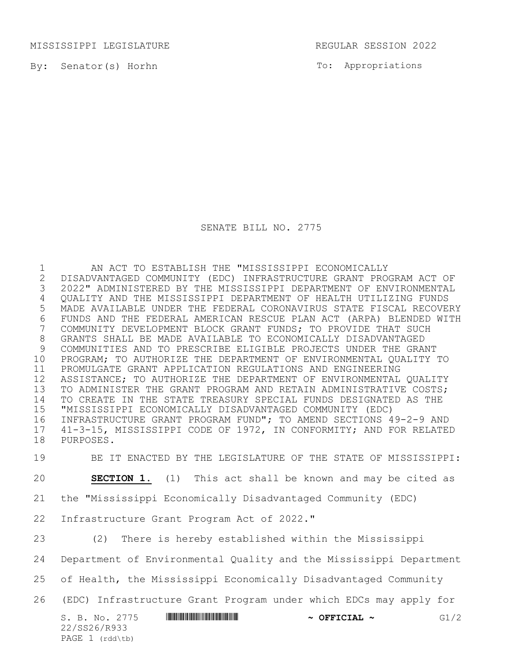MISSISSIPPI LEGISLATURE REGULAR SESSION 2022

By: Senator(s) Horhn

To: Appropriations

SENATE BILL NO. 2775

1 AN ACT TO ESTABLISH THE "MISSISSIPPI ECONOMICALLY<br>2 DISADVANTAGED COMMUNITY (EDC) INFRASTRUCTURE GRANT PRO DISADVANTAGED COMMUNITY (EDC) INFRASTRUCTURE GRANT PROGRAM ACT OF 2022" ADMINISTERED BY THE MISSISSIPPI DEPARTMENT OF ENVIRONMENTAL QUALITY AND THE MISSISSIPPI DEPARTMENT OF HEALTH UTILIZING FUNDS MADE AVAILABLE UNDER THE FEDERAL CORONAVIRUS STATE FISCAL RECOVERY 6 FUNDS AND THE FEDERAL AMERICAN RESCUE PLAN ACT (ARPA) BLENDED WITH<br>7 COMMUNITY DEVELOPMENT BLOCK GRANT FUNDS; TO PROVIDE THAT SUCH COMMUNITY DEVELOPMENT BLOCK GRANT FUNDS; TO PROVIDE THAT SUCH GRANTS SHALL BE MADE AVAILABLE TO ECONOMICALLY DISADVANTAGED COMMUNITIES AND TO PRESCRIBE ELIGIBLE PROJECTS UNDER THE GRANT PROGRAM; TO AUTHORIZE THE DEPARTMENT OF ENVIRONMENTAL QUALITY TO PROMULGATE GRANT APPLICATION REGULATIONS AND ENGINEERING ASSISTANCE; TO AUTHORIZE THE DEPARTMENT OF ENVIRONMENTAL QUALITY TO ADMINISTER THE GRANT PROGRAM AND RETAIN ADMINISTRATIVE COSTS; TO CREATE IN THE STATE TREASURY SPECIAL FUNDS DESIGNATED AS THE "MISSISSIPPI ECONOMICALLY DISADVANTAGED COMMUNITY (EDC) INFRASTRUCTURE GRANT PROGRAM FUND"; TO AMEND SECTIONS 49-2-9 AND 41-3-15, MISSISSIPPI CODE OF 1972, IN CONFORMITY; AND FOR RELATED PURPOSES.

BE IT ENACTED BY THE LEGISLATURE OF THE STATE OF MISSISSIPPI:

**SECTION 1.** (1) This act shall be known and may be cited as

the "Mississippi Economically Disadvantaged Community (EDC)

Infrastructure Grant Program Act of 2022."

(2) There is hereby established within the Mississippi

Department of Environmental Quality and the Mississippi Department

of Health, the Mississippi Economically Disadvantaged Community

(EDC) Infrastructure Grant Program under which EDCs may apply for

| S. B. No. 2775  | <u> I III III III III III III III II III II III II III II II II II II II III II III III III III II</u> | $\sim$ OFFICIAL $\sim$ | G1/2 |
|-----------------|--------------------------------------------------------------------------------------------------------|------------------------|------|
| 22/SS26/R933    |                                                                                                        |                        |      |
| PAGE 1 (rdd\tb) |                                                                                                        |                        |      |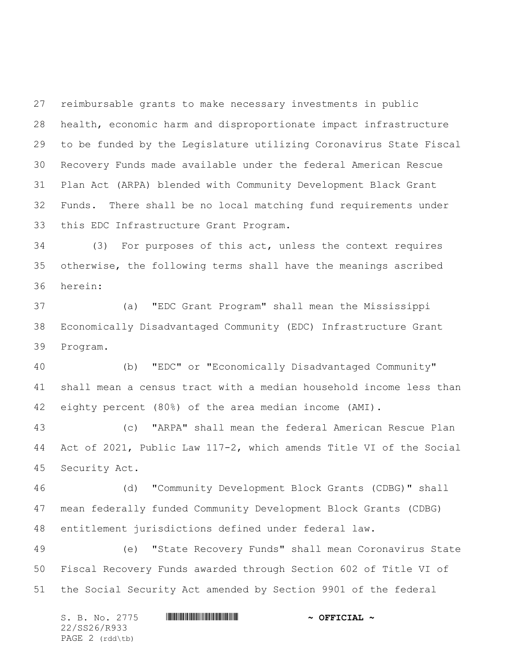reimbursable grants to make necessary investments in public health, economic harm and disproportionate impact infrastructure to be funded by the Legislature utilizing Coronavirus State Fiscal Recovery Funds made available under the federal American Rescue Plan Act (ARPA) blended with Community Development Black Grant Funds. There shall be no local matching fund requirements under this EDC Infrastructure Grant Program.

 (3) For purposes of this act, unless the context requires otherwise, the following terms shall have the meanings ascribed herein:

 (a) "EDC Grant Program" shall mean the Mississippi Economically Disadvantaged Community (EDC) Infrastructure Grant Program.

 (b) "EDC" or "Economically Disadvantaged Community" shall mean a census tract with a median household income less than eighty percent (80%) of the area median income (AMI).

 (c) "ARPA" shall mean the federal American Rescue Plan Act of 2021, Public Law 117-2, which amends Title VI of the Social Security Act.

 (d) "Community Development Block Grants (CDBG)" shall mean federally funded Community Development Block Grants (CDBG) entitlement jurisdictions defined under federal law.

 (e) "State Recovery Funds" shall mean Coronavirus State Fiscal Recovery Funds awarded through Section 602 of Title VI of the Social Security Act amended by Section 9901 of the federal

S. B. No. 2775 \*SS26/R933\* **~ OFFICIAL ~** 22/SS26/R933 PAGE 2 (rdd\tb)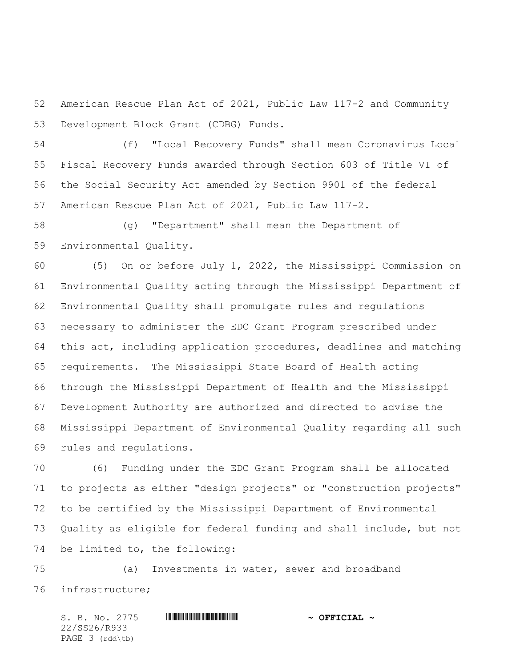American Rescue Plan Act of 2021, Public Law 117-2 and Community Development Block Grant (CDBG) Funds.

 (f) "Local Recovery Funds" shall mean Coronavirus Local Fiscal Recovery Funds awarded through Section 603 of Title VI of the Social Security Act amended by Section 9901 of the federal American Rescue Plan Act of 2021, Public Law 117-2.

 (g) "Department" shall mean the Department of Environmental Quality.

 (5) On or before July 1, 2022, the Mississippi Commission on Environmental Quality acting through the Mississippi Department of Environmental Quality shall promulgate rules and regulations necessary to administer the EDC Grant Program prescribed under this act, including application procedures, deadlines and matching requirements. The Mississippi State Board of Health acting through the Mississippi Department of Health and the Mississippi Development Authority are authorized and directed to advise the Mississippi Department of Environmental Quality regarding all such rules and regulations.

 (6) Funding under the EDC Grant Program shall be allocated to projects as either "design projects" or "construction projects" to be certified by the Mississippi Department of Environmental Quality as eligible for federal funding and shall include, but not be limited to, the following:

 (a) Investments in water, sewer and broadband infrastructure;

S. B. No. 2775 \*SS26/R933\* **~ OFFICIAL ~** 22/SS26/R933 PAGE 3 (rdd\tb)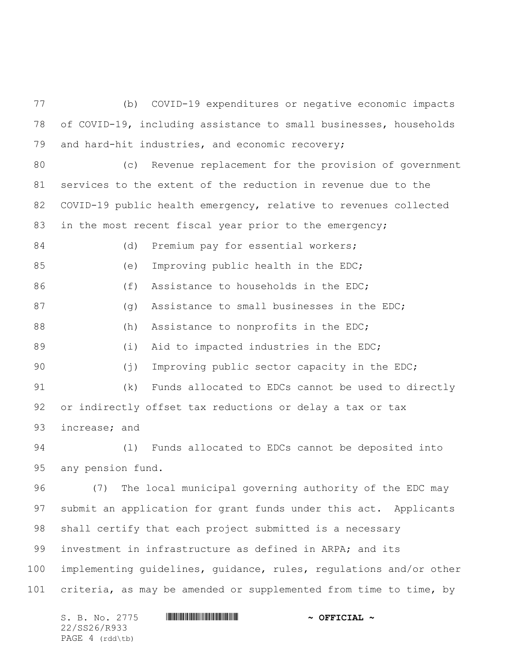(b) COVID-19 expenditures or negative economic impacts of COVID-19, including assistance to small businesses, households and hard-hit industries, and economic recovery;

 (c) Revenue replacement for the provision of government services to the extent of the reduction in revenue due to the COVID-19 public health emergency, relative to revenues collected 83 in the most recent fiscal year prior to the emergency;

84 (d) Premium pay for essential workers; 85 (e) Improving public health in the EDC; 86 (f) Assistance to households in the EDC; 87 (g) Assistance to small businesses in the EDC; 88 (h) Assistance to nonprofits in the EDC; 89 (i) Aid to impacted industries in the EDC; (j) Improving public sector capacity in the EDC; (k) Funds allocated to EDCs cannot be used to directly or indirectly offset tax reductions or delay a tax or tax increase; and

 (l) Funds allocated to EDCs cannot be deposited into any pension fund.

 (7) The local municipal governing authority of the EDC may submit an application for grant funds under this act. Applicants shall certify that each project submitted is a necessary investment in infrastructure as defined in ARPA; and its implementing guidelines, guidance, rules, regulations and/or other criteria, as may be amended or supplemented from time to time, by

S. B. No. 2775 \*SS26/R933\* **~ OFFICIAL ~** 22/SS26/R933 PAGE 4 (rdd\tb)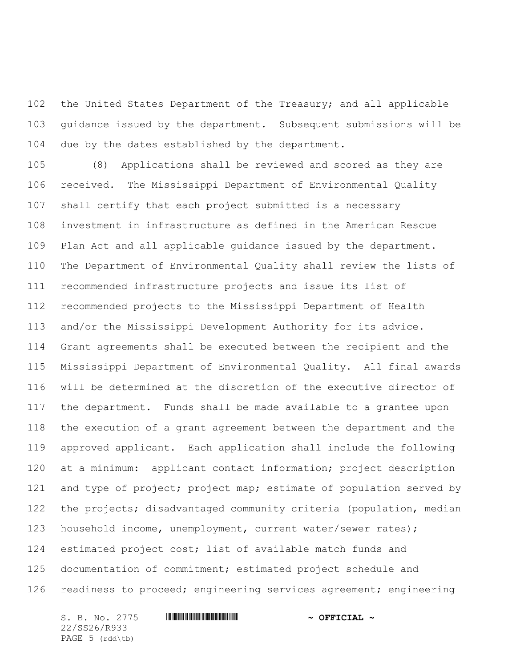the United States Department of the Treasury; and all applicable guidance issued by the department. Subsequent submissions will be due by the dates established by the department.

 (8) Applications shall be reviewed and scored as they are received. The Mississippi Department of Environmental Quality shall certify that each project submitted is a necessary investment in infrastructure as defined in the American Rescue Plan Act and all applicable guidance issued by the department. The Department of Environmental Quality shall review the lists of recommended infrastructure projects and issue its list of recommended projects to the Mississippi Department of Health and/or the Mississippi Development Authority for its advice. Grant agreements shall be executed between the recipient and the Mississippi Department of Environmental Quality. All final awards will be determined at the discretion of the executive director of the department. Funds shall be made available to a grantee upon the execution of a grant agreement between the department and the approved applicant. Each application shall include the following at a minimum: applicant contact information; project description 121 and type of project; project map; estimate of population served by the projects; disadvantaged community criteria (population, median household income, unemployment, current water/sewer rates); estimated project cost; list of available match funds and documentation of commitment; estimated project schedule and 126 readiness to proceed; engineering services agreement; engineering

22/SS26/R933 PAGE 5 (rdd\tb)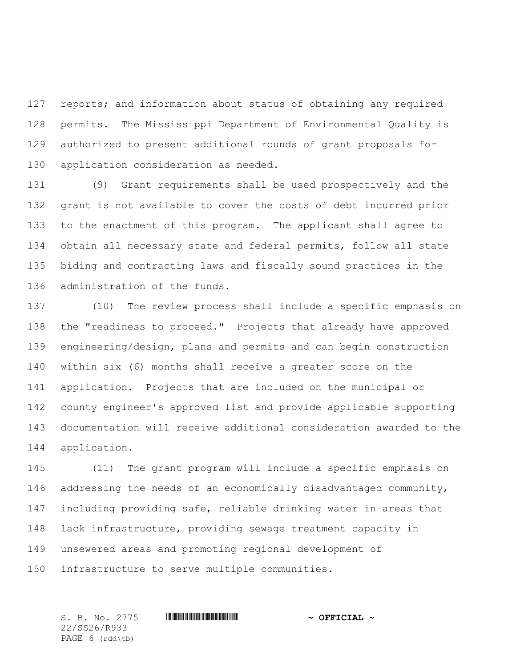127 reports; and information about status of obtaining any required permits. The Mississippi Department of Environmental Quality is authorized to present additional rounds of grant proposals for application consideration as needed.

 (9) Grant requirements shall be used prospectively and the grant is not available to cover the costs of debt incurred prior to the enactment of this program. The applicant shall agree to obtain all necessary state and federal permits, follow all state biding and contracting laws and fiscally sound practices in the administration of the funds.

 (10) The review process shall include a specific emphasis on the "readiness to proceed." Projects that already have approved engineering/design, plans and permits and can begin construction within six (6) months shall receive a greater score on the application. Projects that are included on the municipal or county engineer's approved list and provide applicable supporting documentation will receive additional consideration awarded to the application.

 (11) The grant program will include a specific emphasis on addressing the needs of an economically disadvantaged community, including providing safe, reliable drinking water in areas that lack infrastructure, providing sewage treatment capacity in unsewered areas and promoting regional development of infrastructure to serve multiple communities.

22/SS26/R933 PAGE 6 (rdd\tb)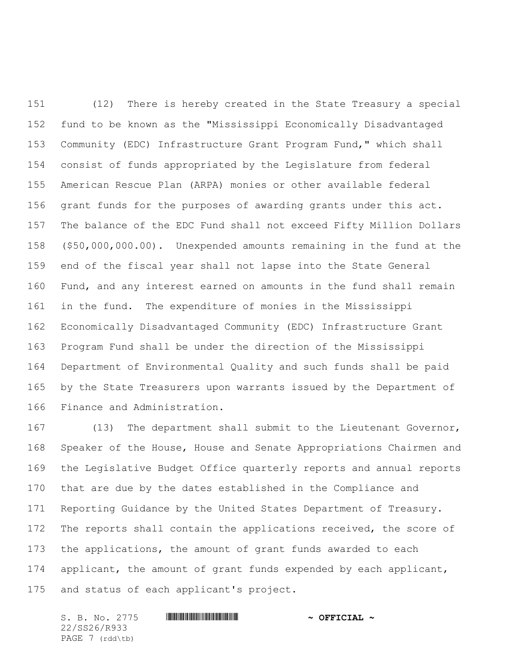(12) There is hereby created in the State Treasury a special fund to be known as the "Mississippi Economically Disadvantaged Community (EDC) Infrastructure Grant Program Fund," which shall consist of funds appropriated by the Legislature from federal American Rescue Plan (ARPA) monies or other available federal grant funds for the purposes of awarding grants under this act. The balance of the EDC Fund shall not exceed Fifty Million Dollars (\$50,000,000.00). Unexpended amounts remaining in the fund at the end of the fiscal year shall not lapse into the State General Fund, and any interest earned on amounts in the fund shall remain in the fund. The expenditure of monies in the Mississippi Economically Disadvantaged Community (EDC) Infrastructure Grant Program Fund shall be under the direction of the Mississippi Department of Environmental Quality and such funds shall be paid by the State Treasurers upon warrants issued by the Department of Finance and Administration.

 (13) The department shall submit to the Lieutenant Governor, Speaker of the House, House and Senate Appropriations Chairmen and the Legislative Budget Office quarterly reports and annual reports that are due by the dates established in the Compliance and Reporting Guidance by the United States Department of Treasury. 172 The reports shall contain the applications received, the score of the applications, the amount of grant funds awarded to each 174 applicant, the amount of grant funds expended by each applicant, and status of each applicant's project.

S. B. No. 2775 \*SS26/R933\* **~ OFFICIAL ~** 22/SS26/R933 PAGE 7 (rdd\tb)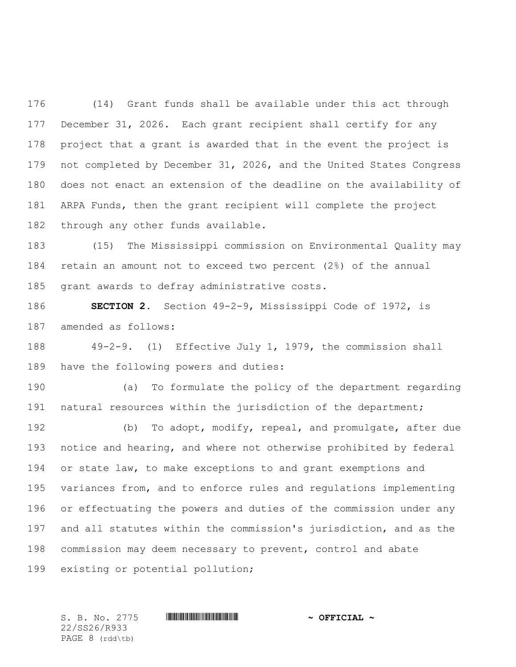(14) Grant funds shall be available under this act through December 31, 2026. Each grant recipient shall certify for any project that a grant is awarded that in the event the project is not completed by December 31, 2026, and the United States Congress does not enact an extension of the deadline on the availability of ARPA Funds, then the grant recipient will complete the project through any other funds available.

 (15) The Mississippi commission on Environmental Quality may retain an amount not to exceed two percent (2%) of the annual grant awards to defray administrative costs.

 **SECTION 2.** Section 49-2-9, Mississippi Code of 1972, is amended as follows:

 49-2-9. (1) Effective July 1, 1979, the commission shall have the following powers and duties:

 (a) To formulate the policy of the department regarding natural resources within the jurisdiction of the department;

 (b) To adopt, modify, repeal, and promulgate, after due notice and hearing, and where not otherwise prohibited by federal or state law, to make exceptions to and grant exemptions and variances from, and to enforce rules and regulations implementing or effectuating the powers and duties of the commission under any and all statutes within the commission's jurisdiction, and as the commission may deem necessary to prevent, control and abate existing or potential pollution;

22/SS26/R933 PAGE 8 (rdd\tb)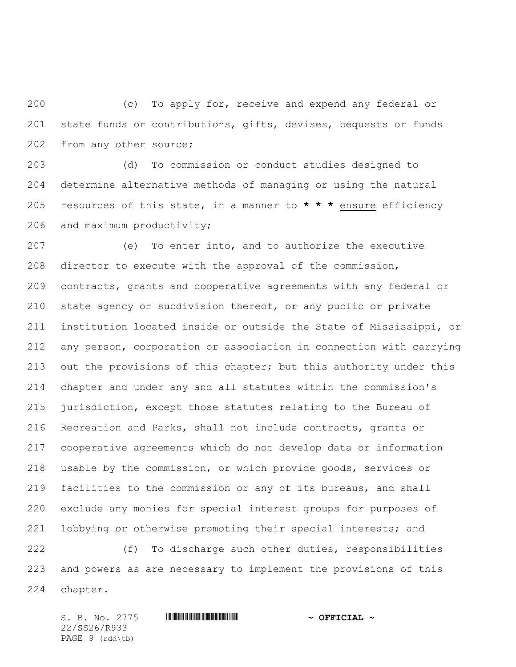(c) To apply for, receive and expend any federal or state funds or contributions, gifts, devises, bequests or funds from any other source;

 (d) To commission or conduct studies designed to determine alternative methods of managing or using the natural resources of this state, in a manner to **\* \* \*** ensure efficiency and maximum productivity;

 (e) To enter into, and to authorize the executive director to execute with the approval of the commission, contracts, grants and cooperative agreements with any federal or state agency or subdivision thereof, or any public or private institution located inside or outside the State of Mississippi, or any person, corporation or association in connection with carrying 213 out the provisions of this chapter; but this authority under this chapter and under any and all statutes within the commission's jurisdiction, except those statutes relating to the Bureau of Recreation and Parks, shall not include contracts, grants or cooperative agreements which do not develop data or information usable by the commission, or which provide goods, services or facilities to the commission or any of its bureaus, and shall exclude any monies for special interest groups for purposes of lobbying or otherwise promoting their special interests; and

 (f) To discharge such other duties, responsibilities and powers as are necessary to implement the provisions of this chapter.

S. B. No. 2775 \*SS26/R933\* **~ OFFICIAL ~** 22/SS26/R933 PAGE 9 (rdd\tb)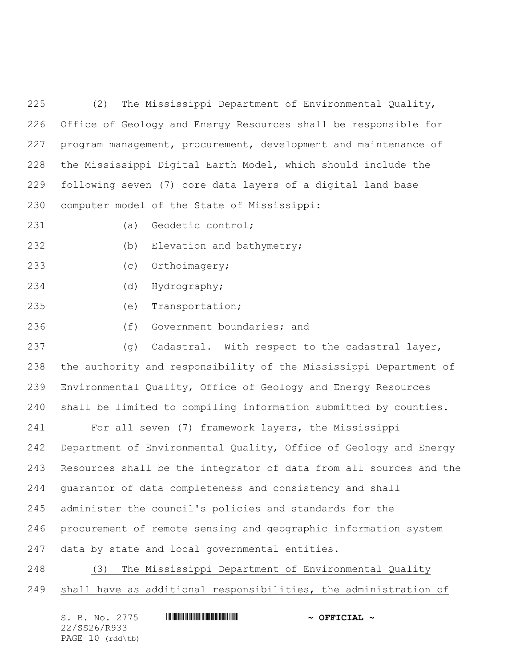(2) The Mississippi Department of Environmental Quality, Office of Geology and Energy Resources shall be responsible for program management, procurement, development and maintenance of the Mississippi Digital Earth Model, which should include the following seven (7) core data layers of a digital land base computer model of the State of Mississippi:

- 
- (a) Geodetic control;

(b) Elevation and bathymetry;

- (c) Orthoimagery;
- (d) Hydrography;
- (e) Transportation;
- (f) Government boundaries; and

237 (g) Cadastral. With respect to the cadastral layer, the authority and responsibility of the Mississippi Department of Environmental Quality, Office of Geology and Energy Resources shall be limited to compiling information submitted by counties.

 For all seven (7) framework layers, the Mississippi Department of Environmental Quality, Office of Geology and Energy Resources shall be the integrator of data from all sources and the guarantor of data completeness and consistency and shall administer the council's policies and standards for the procurement of remote sensing and geographic information system data by state and local governmental entities.

 (3) The Mississippi Department of Environmental Quality shall have as additional responsibilities, the administration of

| S. B. No. 2775     | $\sim$ OFFICIAL $\sim$ |
|--------------------|------------------------|
| 22/SS26/R933       |                        |
| PAGE $10$ (rdd\tb) |                        |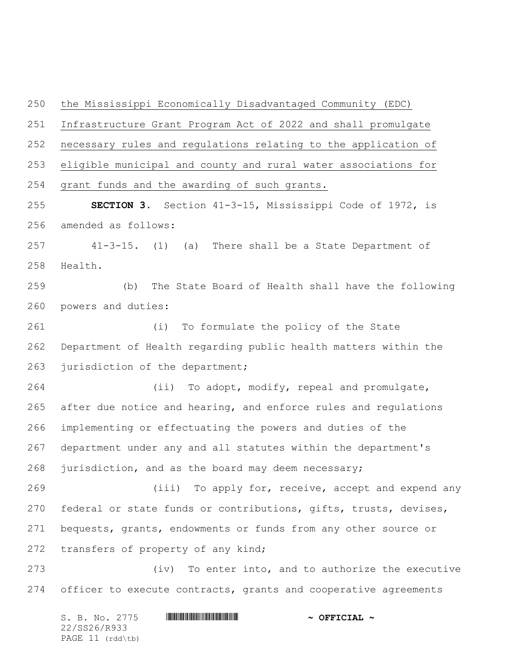the Mississippi Economically Disadvantaged Community (EDC) Infrastructure Grant Program Act of 2022 and shall promulgate necessary rules and regulations relating to the application of eligible municipal and county and rural water associations for grant funds and the awarding of such grants. **SECTION 3.** Section 41-3-15, Mississippi Code of 1972, is amended as follows: 41-3-15. (1) (a) There shall be a State Department of Health. (b) The State Board of Health shall have the following powers and duties: (i) To formulate the policy of the State Department of Health regarding public health matters within the 263 jurisdiction of the department; (ii) To adopt, modify, repeal and promulgate, after due notice and hearing, and enforce rules and regulations implementing or effectuating the powers and duties of the department under any and all statutes within the department's jurisdiction, and as the board may deem necessary; (iii) To apply for, receive, accept and expend any 270 federal or state funds or contributions, gifts, trusts, devises, bequests, grants, endowments or funds from any other source or 272 transfers of property of any kind; (iv) To enter into, and to authorize the executive 274 officer to execute contracts, grants and cooperative agreements

S. B. No. 2775 \*SS26/R933\* **~ OFFICIAL ~** 22/SS26/R933 PAGE 11 (rdd\tb)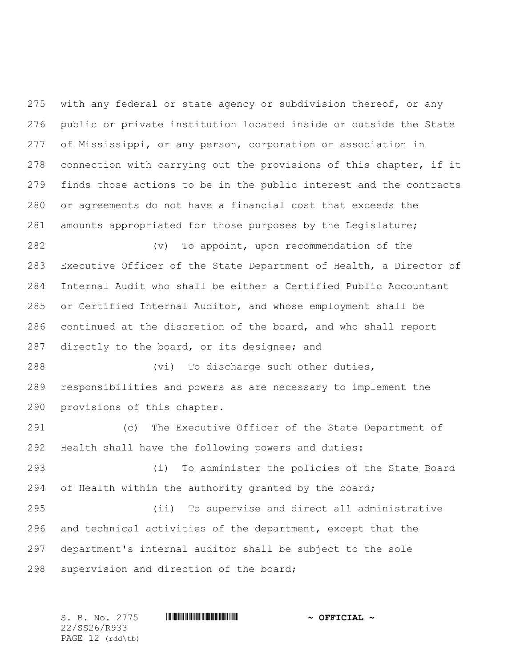275 with any federal or state agency or subdivision thereof, or any public or private institution located inside or outside the State of Mississippi, or any person, corporation or association in connection with carrying out the provisions of this chapter, if it finds those actions to be in the public interest and the contracts or agreements do not have a financial cost that exceeds the amounts appropriated for those purposes by the Legislature;

 (v) To appoint, upon recommendation of the Executive Officer of the State Department of Health, a Director of Internal Audit who shall be either a Certified Public Accountant or Certified Internal Auditor, and whose employment shall be continued at the discretion of the board, and who shall report directly to the board, or its designee; and

 (vi) To discharge such other duties, responsibilities and powers as are necessary to implement the provisions of this chapter.

 (c) The Executive Officer of the State Department of Health shall have the following powers and duties:

 (i) To administer the policies of the State Board 294 of Health within the authority granted by the board;

 (ii) To supervise and direct all administrative and technical activities of the department, except that the department's internal auditor shall be subject to the sole supervision and direction of the board;

22/SS26/R933 PAGE 12 (rdd\tb)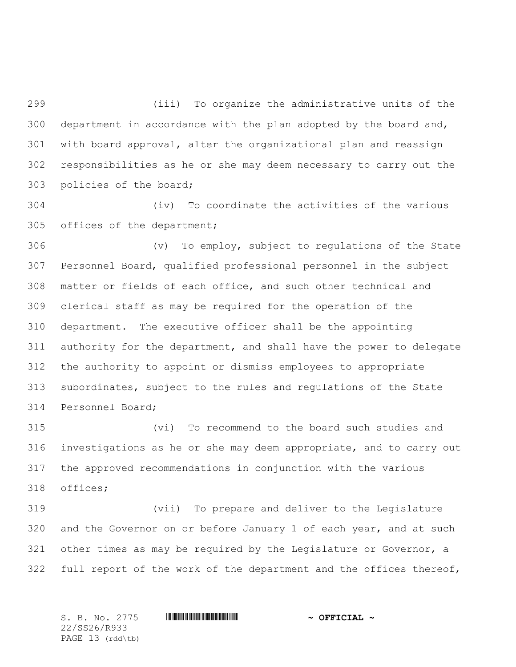(iii) To organize the administrative units of the department in accordance with the plan adopted by the board and, with board approval, alter the organizational plan and reassign responsibilities as he or she may deem necessary to carry out the policies of the board;

 (iv) To coordinate the activities of the various offices of the department;

 (v) To employ, subject to regulations of the State Personnel Board, qualified professional personnel in the subject matter or fields of each office, and such other technical and clerical staff as may be required for the operation of the department. The executive officer shall be the appointing authority for the department, and shall have the power to delegate the authority to appoint or dismiss employees to appropriate subordinates, subject to the rules and regulations of the State Personnel Board;

 (vi) To recommend to the board such studies and investigations as he or she may deem appropriate, and to carry out the approved recommendations in conjunction with the various offices;

 (vii) To prepare and deliver to the Legislature 320 and the Governor on or before January 1 of each year, and at such other times as may be required by the Legislature or Governor, a 322 full report of the work of the department and the offices thereof,

S. B. No. 2775 \*SS26/R933\* **~ OFFICIAL ~** 22/SS26/R933 PAGE 13 (rdd\tb)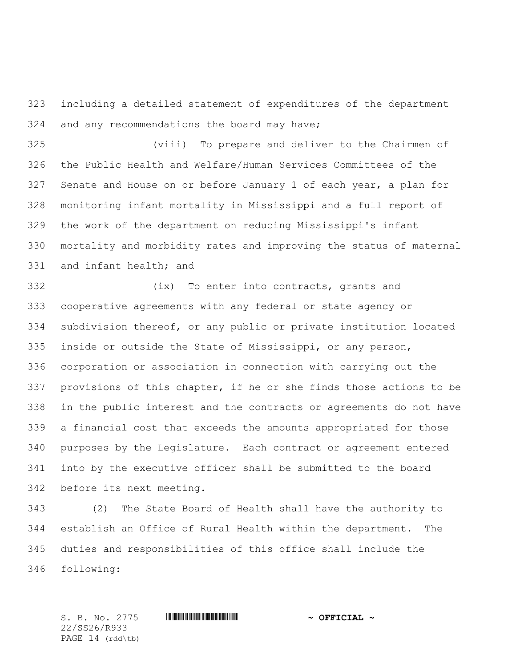including a detailed statement of expenditures of the department and any recommendations the board may have;

 (viii) To prepare and deliver to the Chairmen of the Public Health and Welfare/Human Services Committees of the Senate and House on or before January 1 of each year, a plan for monitoring infant mortality in Mississippi and a full report of the work of the department on reducing Mississippi's infant mortality and morbidity rates and improving the status of maternal and infant health; and

 (ix) To enter into contracts, grants and cooperative agreements with any federal or state agency or subdivision thereof, or any public or private institution located inside or outside the State of Mississippi, or any person, corporation or association in connection with carrying out the provisions of this chapter, if he or she finds those actions to be in the public interest and the contracts or agreements do not have a financial cost that exceeds the amounts appropriated for those purposes by the Legislature. Each contract or agreement entered into by the executive officer shall be submitted to the board before its next meeting.

 (2) The State Board of Health shall have the authority to establish an Office of Rural Health within the department. The duties and responsibilities of this office shall include the following:

22/SS26/R933 PAGE 14 (rdd\tb)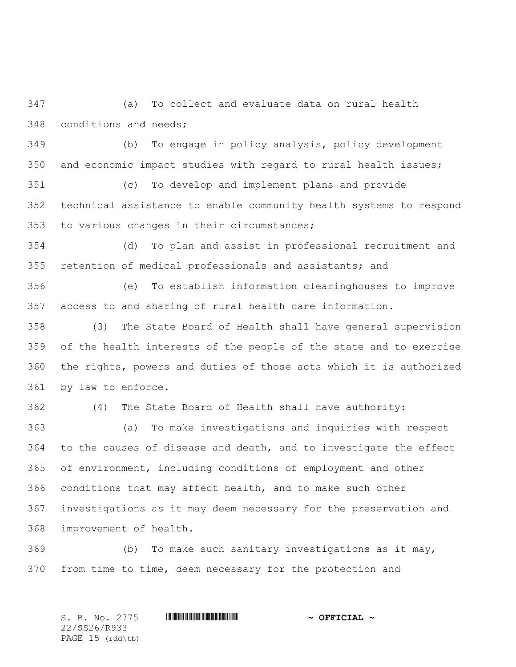(a) To collect and evaluate data on rural health conditions and needs;

 (b) To engage in policy analysis, policy development and economic impact studies with regard to rural health issues;

 (c) To develop and implement plans and provide technical assistance to enable community health systems to respond to various changes in their circumstances;

 (d) To plan and assist in professional recruitment and retention of medical professionals and assistants; and

 (e) To establish information clearinghouses to improve access to and sharing of rural health care information.

 (3) The State Board of Health shall have general supervision of the health interests of the people of the state and to exercise the rights, powers and duties of those acts which it is authorized by law to enforce.

(4) The State Board of Health shall have authority:

 (a) To make investigations and inquiries with respect to the causes of disease and death, and to investigate the effect of environment, including conditions of employment and other conditions that may affect health, and to make such other investigations as it may deem necessary for the preservation and improvement of health.

 (b) To make such sanitary investigations as it may, from time to time, deem necessary for the protection and

S. B. No. 2775 \*SS26/R933\* **~ OFFICIAL ~** 22/SS26/R933 PAGE 15 (rdd\tb)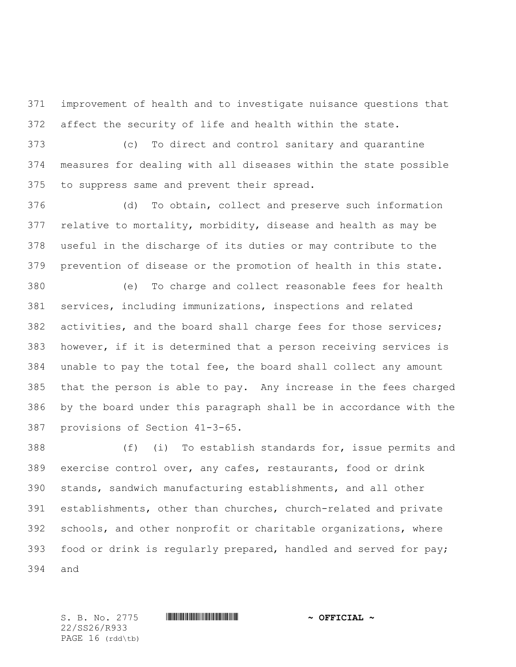improvement of health and to investigate nuisance questions that affect the security of life and health within the state.

 (c) To direct and control sanitary and quarantine measures for dealing with all diseases within the state possible to suppress same and prevent their spread.

 (d) To obtain, collect and preserve such information relative to mortality, morbidity, disease and health as may be useful in the discharge of its duties or may contribute to the prevention of disease or the promotion of health in this state.

 (e) To charge and collect reasonable fees for health services, including immunizations, inspections and related activities, and the board shall charge fees for those services; however, if it is determined that a person receiving services is unable to pay the total fee, the board shall collect any amount that the person is able to pay. Any increase in the fees charged by the board under this paragraph shall be in accordance with the provisions of Section 41-3-65.

 (f) (i) To establish standards for, issue permits and exercise control over, any cafes, restaurants, food or drink stands, sandwich manufacturing establishments, and all other establishments, other than churches, church-related and private schools, and other nonprofit or charitable organizations, where food or drink is regularly prepared, handled and served for pay; and

22/SS26/R933 PAGE 16 (rdd\tb)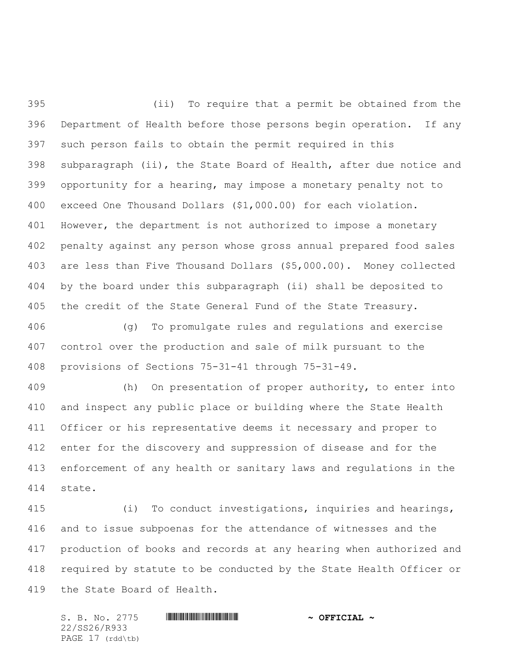(ii) To require that a permit be obtained from the Department of Health before those persons begin operation. If any such person fails to obtain the permit required in this subparagraph (ii), the State Board of Health, after due notice and opportunity for a hearing, may impose a monetary penalty not to exceed One Thousand Dollars (\$1,000.00) for each violation. However, the department is not authorized to impose a monetary penalty against any person whose gross annual prepared food sales are less than Five Thousand Dollars (\$5,000.00). Money collected by the board under this subparagraph (ii) shall be deposited to the credit of the State General Fund of the State Treasury.

 (g) To promulgate rules and regulations and exercise control over the production and sale of milk pursuant to the provisions of Sections 75-31-41 through 75-31-49.

 (h) On presentation of proper authority, to enter into and inspect any public place or building where the State Health Officer or his representative deems it necessary and proper to enter for the discovery and suppression of disease and for the enforcement of any health or sanitary laws and regulations in the state.

 (i) To conduct investigations, inquiries and hearings, and to issue subpoenas for the attendance of witnesses and the production of books and records at any hearing when authorized and required by statute to be conducted by the State Health Officer or the State Board of Health.

S. B. No. 2775 \*SS26/R933\* **~ OFFICIAL ~** 22/SS26/R933 PAGE 17 (rdd\tb)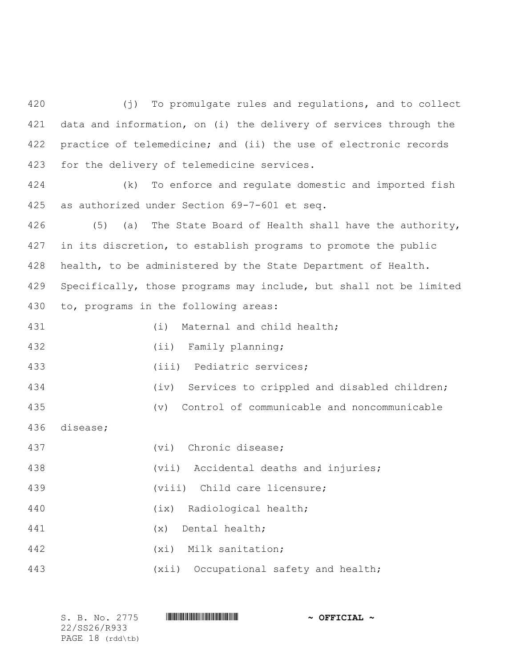(j) To promulgate rules and regulations, and to collect data and information, on (i) the delivery of services through the practice of telemedicine; and (ii) the use of electronic records for the delivery of telemedicine services.

 (k) To enforce and regulate domestic and imported fish as authorized under Section 69-7-601 et seq.

 (5) (a) The State Board of Health shall have the authority, in its discretion, to establish programs to promote the public health, to be administered by the State Department of Health. Specifically, those programs may include, but shall not be limited to, programs in the following areas:

(i) Maternal and child health;

432 (ii) Family planning;

(iii) Pediatric services;

434 (iv) Services to crippled and disabled children;

(v) Control of communicable and noncommunicable

disease;

| 437 | (vi) Chronic disease;                 |
|-----|---------------------------------------|
| 438 | (vii) Accidental deaths and injuries; |
| 439 | (viii) Child care licensure;          |
| 440 | (ix) Radiological health;             |
| 441 | Dental health;<br>(x)                 |
| 442 | (xi) Milk sanitation;                 |
| 443 | (xii) Occupational safety and health; |

S. B. No. 2775 **\*\*\* ASSECTED \*\*\* \*\*\* OFFICIAL ~\*** 22/SS26/R933 PAGE 18 (rdd\tb)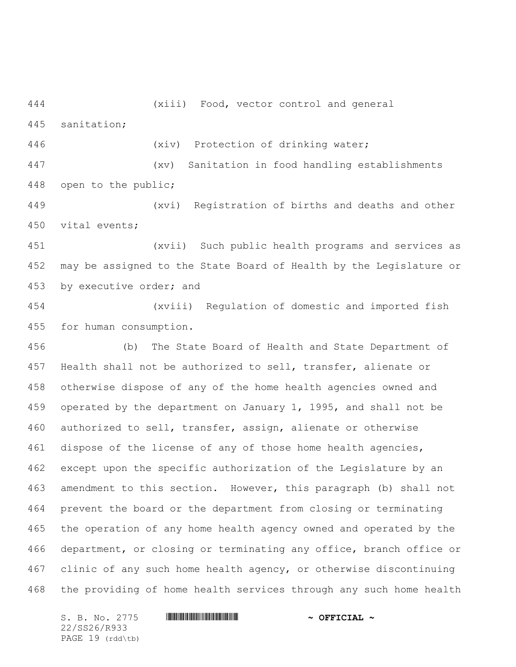(xiii) Food, vector control and general sanitation;

(xiv) Protection of drinking water;

 (xv) Sanitation in food handling establishments open to the public;

 (xvi) Registration of births and deaths and other vital events;

 (xvii) Such public health programs and services as may be assigned to the State Board of Health by the Legislature or by executive order; and

 (xviii) Regulation of domestic and imported fish for human consumption.

 (b) The State Board of Health and State Department of Health shall not be authorized to sell, transfer, alienate or otherwise dispose of any of the home health agencies owned and operated by the department on January 1, 1995, and shall not be authorized to sell, transfer, assign, alienate or otherwise dispose of the license of any of those home health agencies, except upon the specific authorization of the Legislature by an amendment to this section. However, this paragraph (b) shall not prevent the board or the department from closing or terminating the operation of any home health agency owned and operated by the department, or closing or terminating any office, branch office or clinic of any such home health agency, or otherwise discontinuing the providing of home health services through any such home health

22/SS26/R933 PAGE 19 (rdd\tb)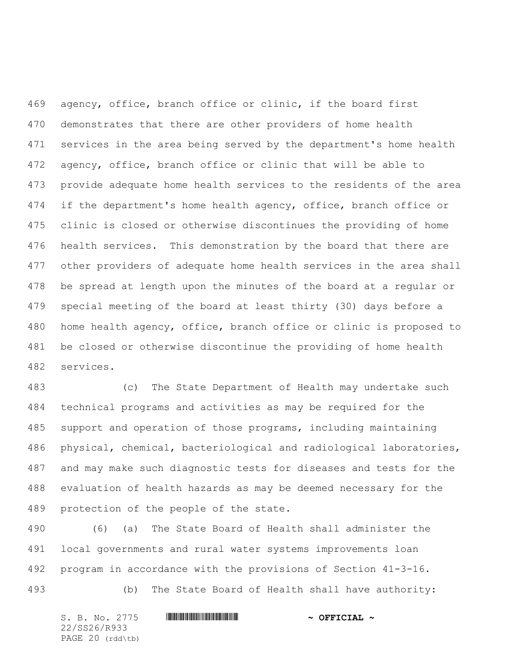agency, office, branch office or clinic, if the board first demonstrates that there are other providers of home health services in the area being served by the department's home health agency, office, branch office or clinic that will be able to provide adequate home health services to the residents of the area 474 if the department's home health agency, office, branch office or clinic is closed or otherwise discontinues the providing of home health services. This demonstration by the board that there are other providers of adequate home health services in the area shall be spread at length upon the minutes of the board at a regular or special meeting of the board at least thirty (30) days before a home health agency, office, branch office or clinic is proposed to be closed or otherwise discontinue the providing of home health services.

 (c) The State Department of Health may undertake such technical programs and activities as may be required for the support and operation of those programs, including maintaining physical, chemical, bacteriological and radiological laboratories, and may make such diagnostic tests for diseases and tests for the evaluation of health hazards as may be deemed necessary for the protection of the people of the state.

 (6) (a) The State Board of Health shall administer the local governments and rural water systems improvements loan program in accordance with the provisions of Section 41-3-16. (b) The State Board of Health shall have authority:

S. B. No. 2775 \*SS26/R933\* **~ OFFICIAL ~** 22/SS26/R933 PAGE 20 (rdd\tb)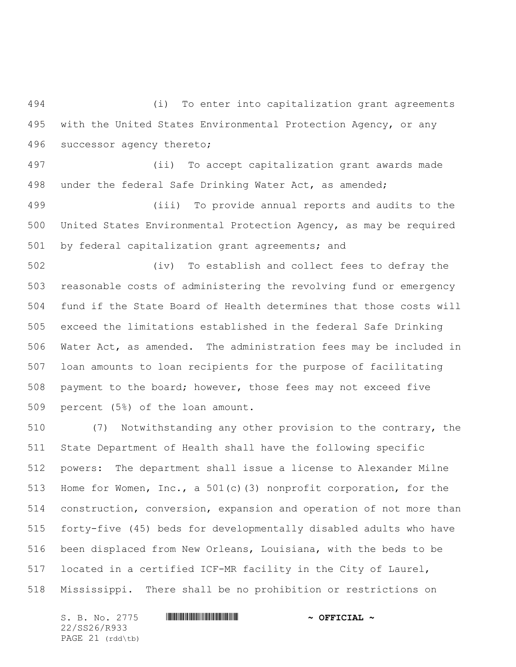(i) To enter into capitalization grant agreements with the United States Environmental Protection Agency, or any successor agency thereto;

 (ii) To accept capitalization grant awards made under the federal Safe Drinking Water Act, as amended;

 (iii) To provide annual reports and audits to the United States Environmental Protection Agency, as may be required by federal capitalization grant agreements; and

 (iv) To establish and collect fees to defray the reasonable costs of administering the revolving fund or emergency fund if the State Board of Health determines that those costs will exceed the limitations established in the federal Safe Drinking Water Act, as amended. The administration fees may be included in loan amounts to loan recipients for the purpose of facilitating payment to the board; however, those fees may not exceed five percent (5%) of the loan amount.

 (7) Notwithstanding any other provision to the contrary, the State Department of Health shall have the following specific powers: The department shall issue a license to Alexander Milne Home for Women, Inc., a 501(c)(3) nonprofit corporation, for the construction, conversion, expansion and operation of not more than forty-five (45) beds for developmentally disabled adults who have been displaced from New Orleans, Louisiana, with the beds to be located in a certified ICF-MR facility in the City of Laurel, Mississippi. There shall be no prohibition or restrictions on

S. B. No. 2775 \*SS26/R933\* **~ OFFICIAL ~** 22/SS26/R933 PAGE 21 (rdd\tb)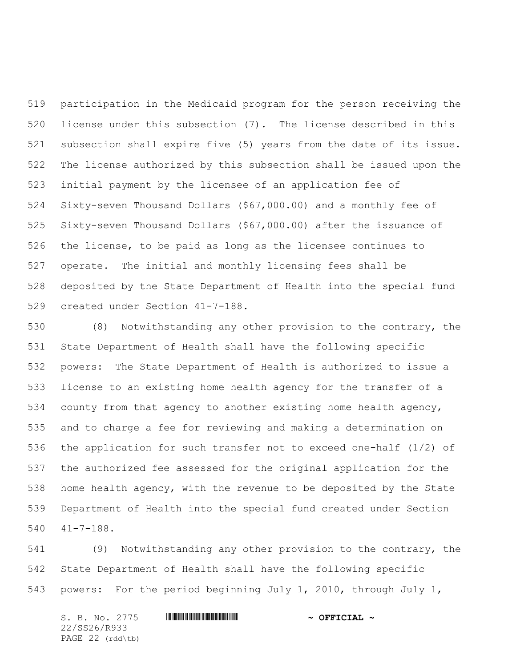participation in the Medicaid program for the person receiving the license under this subsection (7). The license described in this subsection shall expire five (5) years from the date of its issue. The license authorized by this subsection shall be issued upon the initial payment by the licensee of an application fee of Sixty-seven Thousand Dollars (\$67,000.00) and a monthly fee of Sixty-seven Thousand Dollars (\$67,000.00) after the issuance of the license, to be paid as long as the licensee continues to operate. The initial and monthly licensing fees shall be deposited by the State Department of Health into the special fund created under Section 41-7-188.

 (8) Notwithstanding any other provision to the contrary, the State Department of Health shall have the following specific powers: The State Department of Health is authorized to issue a license to an existing home health agency for the transfer of a county from that agency to another existing home health agency, and to charge a fee for reviewing and making a determination on the application for such transfer not to exceed one-half (1/2) of the authorized fee assessed for the original application for the home health agency, with the revenue to be deposited by the State Department of Health into the special fund created under Section 41-7-188.

 (9) Notwithstanding any other provision to the contrary, the State Department of Health shall have the following specific powers: For the period beginning July 1, 2010, through July 1,

S. B. No. 2775 \*SS26/R933\* **~ OFFICIAL ~** 22/SS26/R933 PAGE 22 (rdd\tb)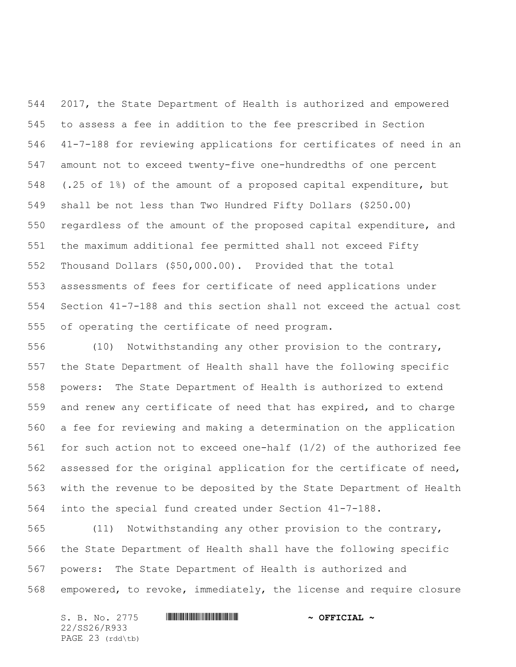2017, the State Department of Health is authorized and empowered to assess a fee in addition to the fee prescribed in Section 41-7-188 for reviewing applications for certificates of need in an amount not to exceed twenty-five one-hundredths of one percent (.25 of 1%) of the amount of a proposed capital expenditure, but shall be not less than Two Hundred Fifty Dollars (\$250.00) regardless of the amount of the proposed capital expenditure, and the maximum additional fee permitted shall not exceed Fifty Thousand Dollars (\$50,000.00). Provided that the total assessments of fees for certificate of need applications under Section 41-7-188 and this section shall not exceed the actual cost of operating the certificate of need program.

 (10) Notwithstanding any other provision to the contrary, the State Department of Health shall have the following specific powers: The State Department of Health is authorized to extend and renew any certificate of need that has expired, and to charge a fee for reviewing and making a determination on the application for such action not to exceed one-half (1/2) of the authorized fee assessed for the original application for the certificate of need, with the revenue to be deposited by the State Department of Health into the special fund created under Section 41-7-188.

 (11) Notwithstanding any other provision to the contrary, the State Department of Health shall have the following specific powers: The State Department of Health is authorized and empowered, to revoke, immediately, the license and require closure

S. B. No. 2775 \*SS26/R933\* **~ OFFICIAL ~** 22/SS26/R933 PAGE 23 (rdd\tb)